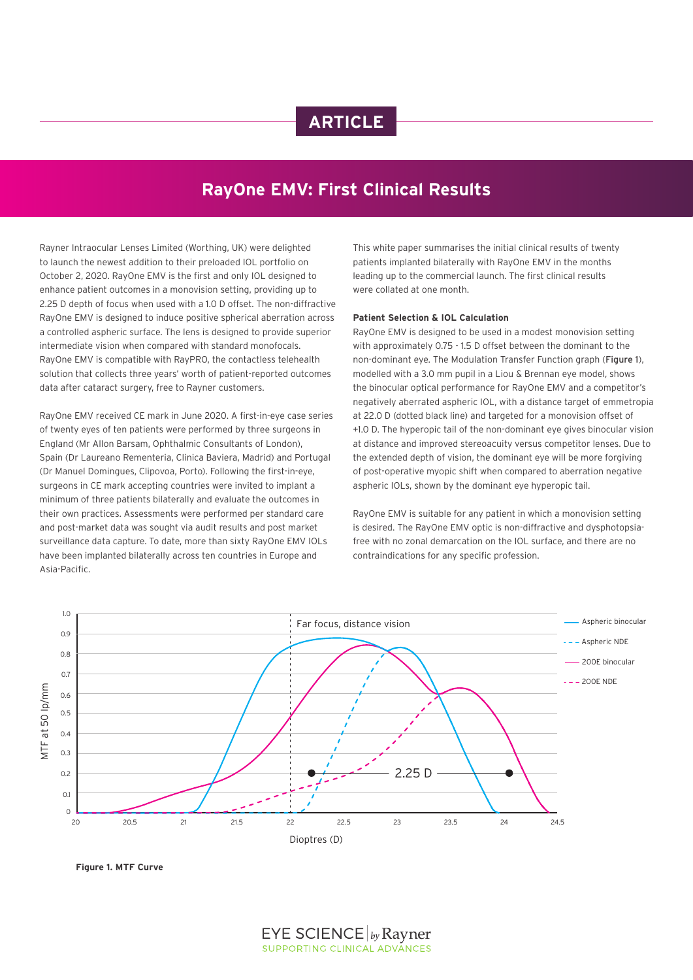# **ARTICLE**

## **RayOne EMV: First Clinical Results**

Rayner Intraocular Lenses Limited (Worthing, UK) were delighted to launch the newest addition to their preloaded IOL portfolio on October 2, 2020. RayOne EMV is the first and only IOL designed to enhance patient outcomes in a monovision setting, providing up to 2.25 D depth of focus when used with a 1.0 D offset. The non-diffractive RayOne EMV is designed to induce positive spherical aberration across a controlled aspheric surface. The lens is designed to provide superior intermediate vision when compared with standard monofocals. RayOne EMV is compatible with RayPRO, the contactless telehealth solution that collects three years' worth of patient-reported outcomes data after cataract surgery, free to Rayner customers.

RayOne EMV received CE mark in June 2020. A first-in-eye case series of twenty eyes of ten patients were performed by three surgeons in England (Mr Allon Barsam, Ophthalmic Consultants of London), Spain (Dr Laureano Rementeria, Clinica Baviera, Madrid) and Portugal (Dr Manuel Domingues, Clipovoa, Porto). Following the first-in-eye, surgeons in CE mark accepting countries were invited to implant a minimum of three patients bilaterally and evaluate the outcomes in their own practices. Assessments were performed per standard care and post-market data was sought via audit results and post market surveillance data capture. To date, more than sixty RayOne EMV IOLs have been implanted bilaterally across ten countries in Europe and Asia-Pacific.

This white paper summarises the initial clinical results of twenty patients implanted bilaterally with RayOne EMV in the months leading up to the commercial launch. The first clinical results were collated at one month.

## **Patient Selection & IOL Calculation**

RayOne EMV is designed to be used in a modest monovision setting with approximately 0.75 - 1.5 D offset between the dominant to the non-dominant eye. The Modulation Transfer Function graph (Figure 1), modelled with a 3.0 mm pupil in a Liou & Brennan eye model, shows the binocular optical performance for RayOne EMV and a competitor's negatively aberrated aspheric IOL, with a distance target of emmetropia at 22.0 D (dotted black line) and targeted for a monovision offset of +1.0 D. The hyperopic tail of the non-dominant eye gives binocular vision at distance and improved stereoacuity versus competitor lenses. Due to the extended depth of vision, the dominant eye will be more forgiving of post-operative myopic shift when compared to aberration negative aspheric IOLs, shown by the dominant eye hyperopic tail.

RayOne EMV is suitable for any patient in which a monovision setting is desired. The RayOne EMV optic is non-diffractive and dysphotopsiafree with no zonal demarcation on the IOL surface, and there are no contraindications for any specific profession.



**Figure 1. MTF Curve**